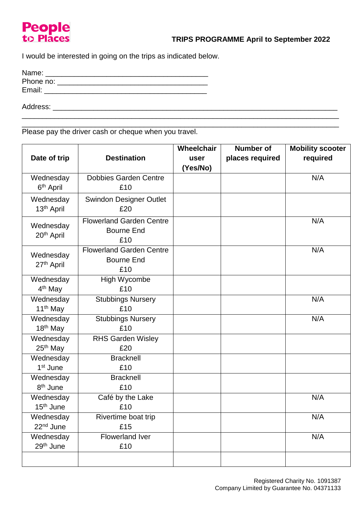## **People** to Places

I would be interested in going on the trips as indicated below.

| Name:     |  |  |
|-----------|--|--|
| Phone no: |  |  |
| Email:    |  |  |
|           |  |  |

Address: \_\_\_\_\_\_\_\_\_\_\_\_\_\_\_\_\_\_\_\_\_\_\_\_\_\_\_\_\_\_\_\_\_\_\_\_\_\_\_\_\_\_\_\_\_\_\_\_\_\_\_\_\_\_\_\_\_\_\_\_\_\_\_\_\_\_\_\_\_\_

\_\_\_\_\_\_\_\_\_\_\_\_\_\_\_\_\_\_\_\_\_\_\_\_\_\_\_\_\_\_\_\_\_\_\_\_\_\_\_\_\_\_\_\_\_\_\_\_\_\_\_\_\_\_\_\_\_\_\_\_\_\_\_\_\_\_\_\_\_\_\_\_\_\_\_\_\_\_ Please pay the driver cash or cheque when you travel.

|                                     |                                 | Wheelchair | <b>Number of</b> | <b>Mobility scooter</b> |
|-------------------------------------|---------------------------------|------------|------------------|-------------------------|
| Date of trip                        | <b>Destination</b>              | user       | places required  | required                |
|                                     |                                 | (Yes/No)   |                  |                         |
| Wednesday                           | <b>Dobbies Garden Centre</b>    |            |                  | N/A                     |
| 6 <sup>th</sup> April               | £10                             |            |                  |                         |
| Wednesday                           | <b>Swindon Designer Outlet</b>  |            |                  |                         |
| 13 <sup>th</sup> April              | £20                             |            |                  |                         |
| Wednesday<br>20 <sup>th</sup> April | <b>Flowerland Garden Centre</b> |            |                  | N/A                     |
|                                     | <b>Bourne End</b>               |            |                  |                         |
|                                     | £10                             |            |                  |                         |
| Wednesday                           | <b>Flowerland Garden Centre</b> |            |                  | N/A                     |
| 27th April                          | <b>Bourne End</b>               |            |                  |                         |
|                                     | £10                             |            |                  |                         |
| Wednesday                           | High Wycombe                    |            |                  |                         |
| 4 <sup>th</sup> May                 | £10                             |            |                  |                         |
| Wednesday                           | <b>Stubbings Nursery</b>        |            |                  | N/A                     |
| 11 <sup>th</sup> May                | £10                             |            |                  |                         |
| Wednesday                           | <b>Stubbings Nursery</b>        |            |                  | N/A                     |
| 18 <sup>th</sup> May                | £10                             |            |                  |                         |
| Wednesday                           | <b>RHS Garden Wisley</b>        |            |                  |                         |
| 25 <sup>th</sup> May                | £20                             |            |                  |                         |
| Wednesday                           | <b>Bracknell</b>                |            |                  |                         |
| 1 <sup>st</sup> June                | £10                             |            |                  |                         |
| Wednesday                           | <b>Bracknell</b>                |            |                  |                         |
| 8 <sup>th</sup> June                | £10                             |            |                  |                         |
| Wednesday                           | Café by the Lake                |            |                  | N/A                     |
| 15 <sup>th</sup> June               | £10                             |            |                  |                         |
| Wednesday                           | Rivertime boat trip             |            |                  | N/A                     |
| 22 <sup>nd</sup> June               | £15                             |            |                  |                         |
| Wednesday                           | Flowerland Iver                 |            |                  | N/A                     |
| 29 <sup>th</sup> June               | £10                             |            |                  |                         |
|                                     |                                 |            |                  |                         |

\_\_\_\_\_\_\_\_\_\_\_\_\_\_\_\_\_\_\_\_\_\_\_\_\_\_\_\_\_\_\_\_\_\_\_\_\_\_\_\_\_\_\_\_\_\_\_\_\_\_\_\_\_\_\_\_\_\_\_\_\_\_\_\_\_\_\_\_\_\_\_\_\_\_\_\_\_\_